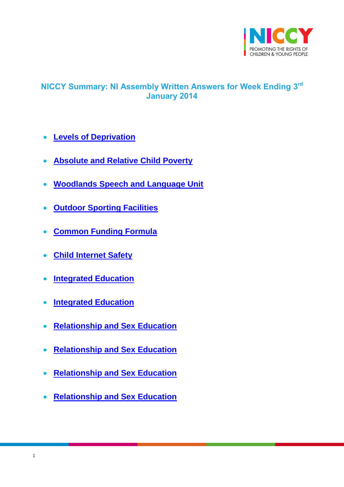

# <span id="page-0-0"></span>**NICCY Summary: NI Assembly Written Answers for Week Ending 3 rd January 2014**

- **[Levels of Deprivation](#page-4-0)**
- **[Absolute and Relative Child Poverty](#page-4-1)**
- **[Woodlands Speech and Language Unit](#page-4-2)**
- **[Outdoor Sporting Facilities](#page-5-0)**
- **[Common Funding Formula](#page-6-0)**
- **[Child Internet Safety](#page-6-1)**
- **[Integrated Education](#page-8-0)**
- **[Integrated Education](#page-8-1)**
- **[Relationship and Sex Education](#page-10-0)**
- **[Relationship and Sex Education](#page-11-0)**
- **[Relationship and Sex Education](#page-11-1)**
- **[Relationship and Sex Education](#page-13-0)**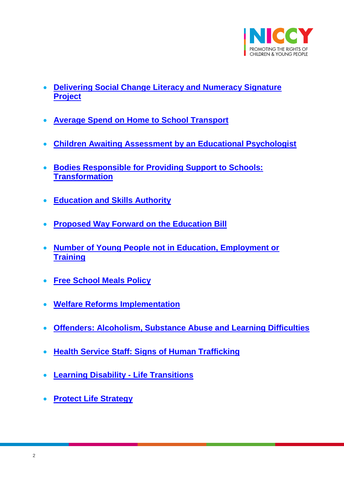

- **[Delivering Social Change Literacy and Numeracy Signature](#page-14-0)  [Project](#page-14-0)**
- **[Average Spend on Home to School Transport](#page-15-0)**
- **[Children Awaiting Assessment by an Educational Psychologist](#page-16-0)**
- **[Bodies Responsible for Providing Support to Schools:](#page-16-1)  [Transformation](#page-16-1)**
- **[Education and Skills Authority](#page-18-0)**
- **[Proposed Way Forward on the Education Bill](#page-18-1)**
- **[Number of Young People not in Education, Employment or](#page-19-0)  [Training](#page-19-0)**
- **[Free School Meals Policy](#page-19-1)**
- **[Welfare Reforms Implementation](#page-19-2)**
- **[Offenders: Alcoholism, Substance Abuse and Learning Difficulties](#page-20-0)**
- **[Health Service Staff: Signs of Human Trafficking](#page-21-0)**
- **[Learning Disability -](#page-21-1) Life Transitions**
- **[Protect Life Strategy](#page-22-0)**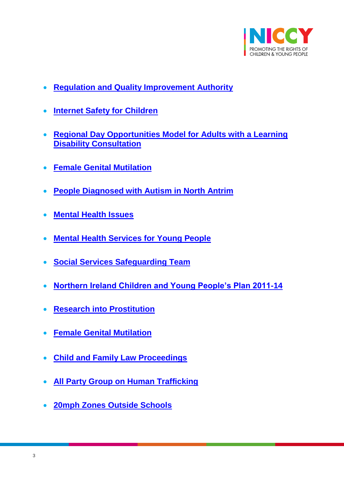

- **[Regulation and Quality Improvement Authority](#page-23-0)**
- **[Internet Safety for Children](#page-24-0)**
- **[Regional Day Opportunities Model for Adults with a Learning](#page-25-0)  [Disability Consultation](#page-25-0)**
- **[Female Genital Mutilation](#page-26-0)**
- **[People Diagnosed with Autism in North Antrim](#page-27-0)**
- **[Mental Health Issues](#page-27-1)**
- **[Mental Health Services for Young People](#page-29-0)**
- **[Social Services Safeguarding Team](#page-29-1)**
- **[Northern Ireland Children and Young People's Plan 2011-14](#page-31-0)**
- **[Research into Prostitution](#page-32-0)**
- **[Female Genital Mutilation](#page-32-1)**
- **[Child and Family Law Proceedings](#page-33-0)**
- **[All Party Group on Human Trafficking](#page-34-0)**
- **[20mph Zones Outside Schools](#page-35-0)**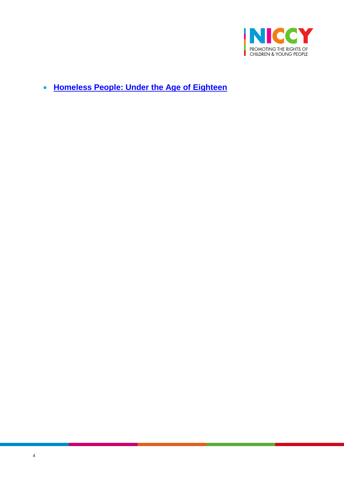

**[Homeless People: Under the Age of Eighteen](#page-35-1)**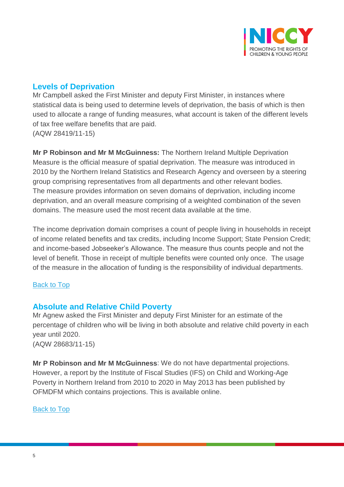

# <span id="page-4-0"></span>**Levels of Deprivation**

Mr Campbell asked the First Minister and deputy First Minister, in instances where statistical data is being used to determine levels of deprivation, the basis of which is then used to allocate a range of funding measures, what account is taken of the different levels of tax free welfare benefits that are paid. (AQW 28419/11-15)

**Mr P Robinson and Mr M McGuinness:** The Northern Ireland Multiple Deprivation Measure is the official measure of spatial deprivation. The measure was introduced in 2010 by the Northern Ireland Statistics and Research Agency and overseen by a steering group comprising representatives from all departments and other relevant bodies. The measure provides information on seven domains of deprivation, including income deprivation, and an overall measure comprising of a weighted combination of the seven domains. The measure used the most recent data available at the time.

The income deprivation domain comprises a count of people living in households in receipt of income related benefits and tax credits, including Income Support; State Pension Credit; and income-based Jobseeker's Allowance. The measure thus counts people and not the level of benefit. Those in receipt of multiple benefits were counted only once. The usage of the measure in the allocation of funding is the responsibility of individual departments.

### [Back to Top](#page-0-0)

### <span id="page-4-1"></span>**Absolute and Relative Child Poverty**

Mr Agnew asked the First Minister and deputy First Minister for an estimate of the percentage of children who will be living in both absolute and relative child poverty in each year until 2020.

(AQW 28683/11-15)

<span id="page-4-2"></span>**Mr P Robinson and Mr M McGuinness**: We do not have departmental projections. However, a report by the Institute of Fiscal Studies (IFS) on Child and Working-Age Poverty in Northern Ireland from 2010 to 2020 in May 2013 has been published by OFMDFM which contains projections. This is available online.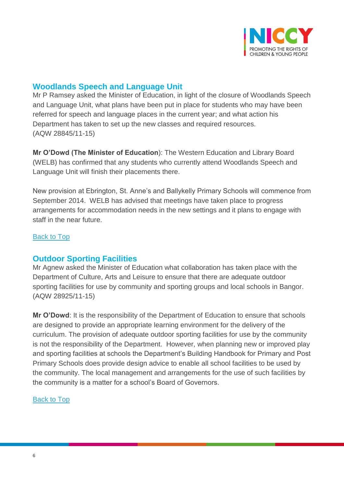

### **Woodlands Speech and Language Unit**

Mr P Ramsey asked the Minister of Education, in light of the closure of Woodlands Speech and Language Unit, what plans have been put in place for students who may have been referred for speech and language places in the current year; and what action his Department has taken to set up the new classes and required resources. (AQW 28845/11-15)

**Mr O'Dowd (The Minister of Education**): The Western Education and Library Board (WELB) has confirmed that any students who currently attend Woodlands Speech and Language Unit will finish their placements there.

New provision at Ebrington, St. Anne's and Ballykelly Primary Schools will commence from September 2014. WELB has advised that meetings have taken place to progress arrangements for accommodation needs in the new settings and it plans to engage with staff in the near future.

### [Back to Top](#page-0-0)

### <span id="page-5-0"></span>**Outdoor Sporting Facilities**

Mr Agnew asked the Minister of Education what collaboration has taken place with the Department of Culture, Arts and Leisure to ensure that there are adequate outdoor sporting facilities for use by community and sporting groups and local schools in Bangor. (AQW 28925/11-15)

**Mr O'Dowd**: It is the responsibility of the Department of Education to ensure that schools are designed to provide an appropriate learning environment for the delivery of the curriculum. The provision of adequate outdoor sporting facilities for use by the community is not the responsibility of the Department. However, when planning new or improved play and sporting facilities at schools the Department's Building Handbook for Primary and Post Primary Schools does provide design advice to enable all school facilities to be used by the community. The local management and arrangements for the use of such facilities by the community is a matter for a school's Board of Governors.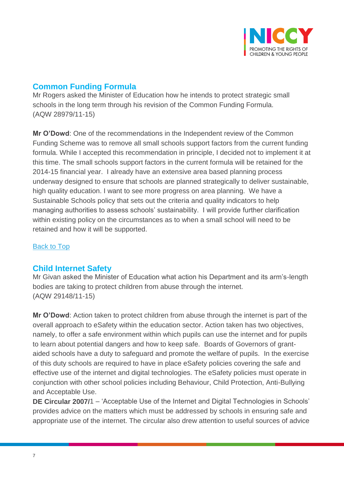

# <span id="page-6-0"></span>**Common Funding Formula**

Mr Rogers asked the Minister of Education how he intends to protect strategic small schools in the long term through his revision of the Common Funding Formula. (AQW 28979/11-15)

**Mr O'Dowd**: One of the recommendations in the Independent review of the Common Funding Scheme was to remove all small schools support factors from the current funding formula. While I accepted this recommendation in principle, I decided not to implement it at this time. The small schools support factors in the current formula will be retained for the 2014-15 financial year. I already have an extensive area based planning process underway designed to ensure that schools are planned strategically to deliver sustainable, high quality education. I want to see more progress on area planning. We have a Sustainable Schools policy that sets out the criteria and quality indicators to help managing authorities to assess schools' sustainability. I will provide further clarification within existing policy on the circumstances as to when a small school will need to be retained and how it will be supported.

#### [Back to Top](#page-0-0)

### <span id="page-6-1"></span>**Child Internet Safety**

Mr Givan asked the Minister of Education what action his Department and its arm's-length bodies are taking to protect children from abuse through the internet. (AQW 29148/11-15)

**Mr O'Dowd**: Action taken to protect children from abuse through the internet is part of the overall approach to eSafety within the education sector. Action taken has two objectives, namely, to offer a safe environment within which pupils can use the internet and for pupils to learn about potential dangers and how to keep safe. Boards of Governors of grantaided schools have a duty to safeguard and promote the welfare of pupils. In the exercise of this duty schools are required to have in place eSafety policies covering the safe and effective use of the internet and digital technologies. The eSafety policies must operate in conjunction with other school policies including Behaviour, Child Protection, Anti-Bullying and Acceptable Use.

**DE Circular 2007/**1 – 'Acceptable Use of the Internet and Digital Technologies in Schools' provides advice on the matters which must be addressed by schools in ensuring safe and appropriate use of the internet. The circular also drew attention to useful sources of advice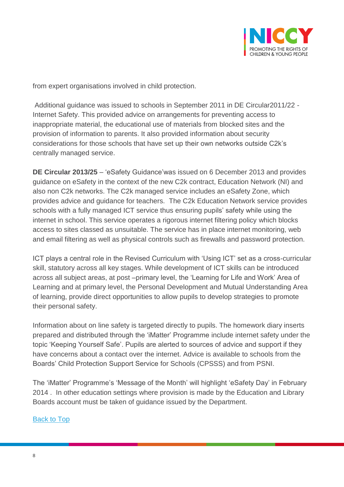

from expert organisations involved in child protection.

Additional guidance was issued to schools in September 2011 in DE Circular2011/22 - Internet Safety. This provided advice on arrangements for preventing access to inappropriate material, the educational use of materials from blocked sites and the provision of information to parents. It also provided information about security considerations for those schools that have set up their own networks outside C2k's centrally managed service.

**DE Circular 2013/25** – 'eSafety Guidance'was issued on 6 December 2013 and provides guidance on eSafety in the context of the new C2k contract, Education Network (NI) and also non C2k networks. The C2k managed service includes an eSafety Zone, which provides advice and guidance for teachers. The C2k Education Network service provides schools with a fully managed ICT service thus ensuring pupils' safety while using the internet in school. This service operates a rigorous internet filtering policy which blocks access to sites classed as unsuitable. The service has in place internet monitoring, web and email filtering as well as physical controls such as firewalls and password protection.

ICT plays a central role in the Revised Curriculum with 'Using ICT' set as a cross-curricular skill, statutory across all key stages. While development of ICT skills can be introduced across all subject areas, at post –primary level, the 'Learning for Life and Work' Area of Learning and at primary level, the Personal Development and Mutual Understanding Area of learning, provide direct opportunities to allow pupils to develop strategies to promote their personal safety.

Information about on line safety is targeted directly to pupils. The homework diary inserts prepared and distributed through the 'iMatter' Programme include internet safety under the topic 'Keeping Yourself Safe'. Pupils are alerted to sources of advice and support if they have concerns about a contact over the internet. Advice is available to schools from the Boards' Child Protection Support Service for Schools (CPSSS) and from PSNI.

The 'iMatter' Programme's 'Message of the Month' will highlight 'eSafety Day' in February 2014 . In other education settings where provision is made by the Education and Library Boards account must be taken of guidance issued by the Department.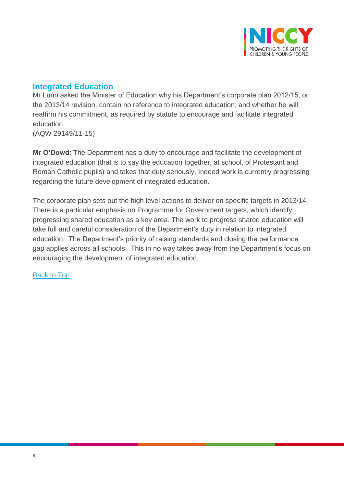

# <span id="page-8-0"></span>**Integrated Education**

Mr Lunn asked the Minister of Education why his Department's corporate plan 2012/15, or the 2013/14 revision, contain no reference to integrated education; and whether he will reaffirm his commitment, as required by statute to encourage and facilitate integrated education.

(AQW 29149/11-15)

**Mr O'Dowd**: The Department has a duty to encourage and facilitate the development of integrated education (that is to say the education together, at school, of Protestant and Roman Catholic pupils) and takes that duty seriously. Indeed work is currently progressing regarding the future development of integrated education.

<span id="page-8-1"></span>The corporate plan sets out the high level actions to deliver on specific targets in 2013/14. There is a particular emphasis on Programme for Government targets, which identify progressing shared education as a key area. The work to progress shared education will take full and careful consideration of the Department's duty in relation to integrated education. The Department's priority of raising standards and closing the performance gap applies across all schools. This in no way takes away from the Department's focus on encouraging the development of integrated education.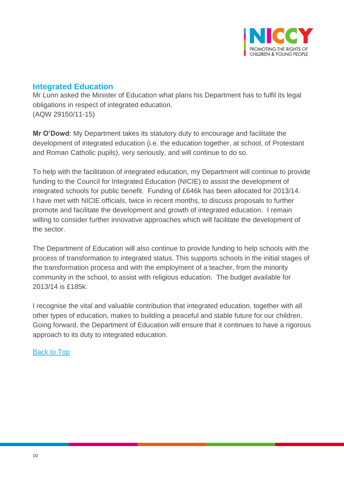

### **Integrated Education**

Mr Lunn asked the Minister of Education what plans his Department has to fulfil its legal obligations in respect of integrated education. (AQW 29150/11-15)

**Mr O'Dowd**: My Department takes its statutory duty to encourage and facilitate the development of integrated education (i.e. the education together, at school, of Protestant and Roman Catholic pupils), very seriously, and will continue to do so.

To help with the facilitation of integrated education, my Department will continue to provide funding to the Council for Integrated Education (NICIE) to assist the development of integrated schools for public benefit. Funding of £646k has been allocated for 2013/14. I have met with NICIE officials, twice in recent months, to discuss proposals to further promote and facilitate the development and growth of integrated education. I remain willing to consider further innovative approaches which will facilitate the development of the sector.

The Department of Education will also continue to provide funding to help schools with the process of transformation to integrated status. This supports schools in the initial stages of the transformation process and with the employment of a teacher, from the minority community in the school, to assist with religious education. The budget available for 2013/14 is £185k.

I recognise the vital and valuable contribution that integrated education, together with all other types of education, makes to building a peaceful and stable future for our children. Going forward, the Department of Education will ensure that it continues to have a rigorous approach to its duty to integrated education.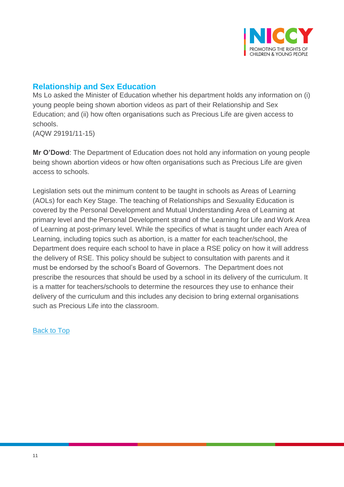

# <span id="page-10-0"></span>**Relationship and Sex Education**

Ms Lo asked the Minister of Education whether his department holds any information on (i) young people being shown abortion videos as part of their Relationship and Sex Education; and (ii) how often organisations such as Precious Life are given access to schools.

(AQW 29191/11-15)

**Mr O'Dowd**: The Department of Education does not hold any information on young people being shown abortion videos or how often organisations such as Precious Life are given access to schools.

Legislation sets out the minimum content to be taught in schools as Areas of Learning (AOLs) for each Key Stage. The teaching of Relationships and Sexuality Education is covered by the Personal Development and Mutual Understanding Area of Learning at primary level and the Personal Development strand of the Learning for Life and Work Area of Learning at post-primary level. While the specifics of what is taught under each Area of Learning, including topics such as abortion, is a matter for each teacher/school, the Department does require each school to have in place a RSE policy on how it will address the delivery of RSE. This policy should be subject to consultation with parents and it must be endorsed by the school's Board of Governors. The Department does not prescribe the resources that should be used by a school in its delivery of the curriculum. It is a matter for teachers/schools to determine the resources they use to enhance their delivery of the curriculum and this includes any decision to bring external organisations such as Precious Life into the classroom.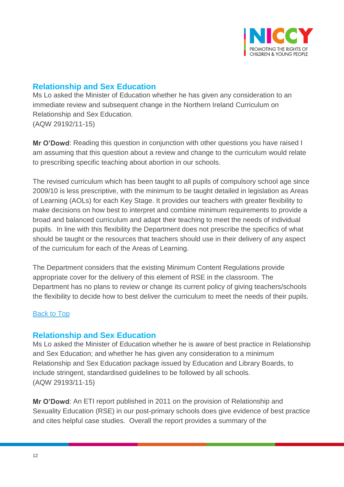

# <span id="page-11-0"></span>**Relationship and Sex Education**

Ms Lo asked the Minister of Education whether he has given any consideration to an immediate review and subsequent change in the Northern Ireland Curriculum on Relationship and Sex Education. (AQW 29192/11-15)

**Mr O'Dowd**: Reading this question in conjunction with other questions you have raised I am assuming that this question about a review and change to the curriculum would relate to prescribing specific teaching about abortion in our schools.

The revised curriculum which has been taught to all pupils of compulsory school age since 2009/10 is less prescriptive, with the minimum to be taught detailed in legislation as Areas of Learning (AOLs) for each Key Stage. It provides our teachers with greater flexibility to make decisions on how best to interpret and combine minimum requirements to provide a broad and balanced curriculum and adapt their teaching to meet the needs of individual pupils. In line with this flexibility the Department does not prescribe the specifics of what should be taught or the resources that teachers should use in their delivery of any aspect of the curriculum for each of the Areas of Learning.

The Department considers that the existing Minimum Content Regulations provide appropriate cover for the delivery of this element of RSE in the classroom. The Department has no plans to review or change its current policy of giving teachers/schools the flexibility to decide how to best deliver the curriculum to meet the needs of their pupils.

### [Back to Top](#page-0-0)

### <span id="page-11-1"></span>**Relationship and Sex Education**

Ms Lo asked the Minister of Education whether he is aware of best practice in Relationship and Sex Education; and whether he has given any consideration to a minimum Relationship and Sex Education package issued by Education and Library Boards, to include stringent, standardised guidelines to be followed by all schools. (AQW 29193/11-15)

**Mr O'Dowd**: An ETI report published in 2011 on the provision of Relationship and Sexuality Education (RSE) in our post-primary schools does give evidence of best practice and cites helpful case studies. Overall the report provides a summary of the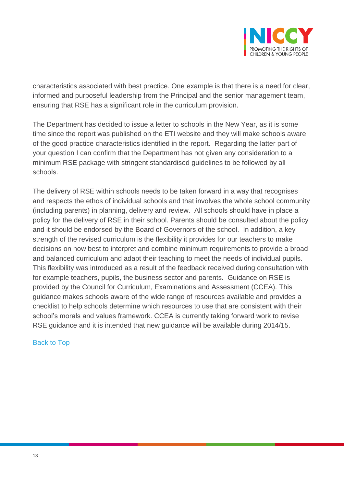

characteristics associated with best practice. One example is that there is a need for clear, informed and purposeful leadership from the Principal and the senior management team, ensuring that RSE has a significant role in the curriculum provision.

The Department has decided to issue a letter to schools in the New Year, as it is some time since the report was published on the ETI website and they will make schools aware of the good practice characteristics identified in the report. Regarding the latter part of your question I can confirm that the Department has not given any consideration to a minimum RSE package with stringent standardised guidelines to be followed by all schools.

The delivery of RSE within schools needs to be taken forward in a way that recognises and respects the ethos of individual schools and that involves the whole school community (including parents) in planning, delivery and review. All schools should have in place a policy for the delivery of RSE in their school. Parents should be consulted about the policy and it should be endorsed by the Board of Governors of the school. In addition, a key strength of the revised curriculum is the flexibility it provides for our teachers to make decisions on how best to interpret and combine minimum requirements to provide a broad and balanced curriculum and adapt their teaching to meet the needs of individual pupils. This flexibility was introduced as a result of the feedback received during consultation with for example teachers, pupils, the business sector and parents. Guidance on RSE is provided by the Council for Curriculum, Examinations and Assessment (CCEA). This guidance makes schools aware of the wide range of resources available and provides a checklist to help schools determine which resources to use that are consistent with their school's morals and values framework. CCEA is currently taking forward work to revise RSE guidance and it is intended that new guidance will be available during 2014/15.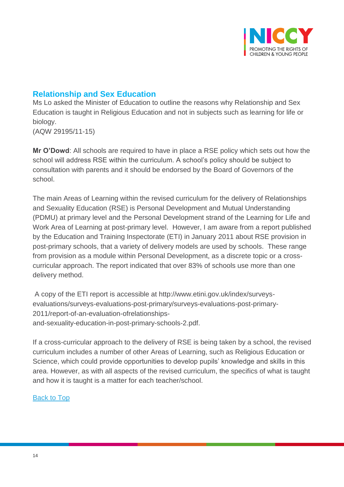

### <span id="page-13-0"></span>**Relationship and Sex Education**

Ms Lo asked the Minister of Education to outline the reasons why Relationship and Sex Education is taught in Religious Education and not in subjects such as learning for life or biology.

(AQW 29195/11-15)

**Mr O'Dowd**: All schools are required to have in place a RSE policy which sets out how the school will address RSE within the curriculum. A school's policy should be subject to consultation with parents and it should be endorsed by the Board of Governors of the school.

The main Areas of Learning within the revised curriculum for the delivery of Relationships and Sexuality Education (RSE) is Personal Development and Mutual Understanding (PDMU) at primary level and the Personal Development strand of the Learning for Life and Work Area of Learning at post-primary level. However, I am aware from a report published by the Education and Training Inspectorate (ETI) in January 2011 about RSE provision in post-primary schools, that a variety of delivery models are used by schools. These range from provision as a module within Personal Development, as a discrete topic or a crosscurricular approach. The report indicated that over 83% of schools use more than one delivery method.

A copy of the ETI report is accessible at http://www.etini.gov.uk/index/surveysevaluations/surveys-evaluations-post-primary/surveys-evaluations-post-primary-2011/report-of-an-evaluation-ofrelationshipsand-sexuality-education-in-post-primary-schools-2.pdf.

If a cross-curricular approach to the delivery of RSE is being taken by a school, the revised curriculum includes a number of other Areas of Learning, such as Religious Education or Science, which could provide opportunities to develop pupils' knowledge and skills in this area. However, as with all aspects of the revised curriculum, the specifics of what is taught and how it is taught is a matter for each teacher/school.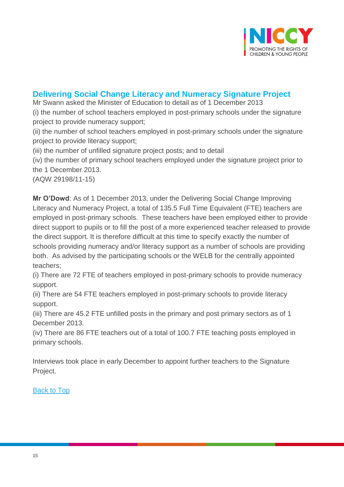

### <span id="page-14-0"></span>**Delivering Social Change Literacy and Numeracy Signature Project**

Mr Swann asked the Minister of Education to detail as of 1 December 2013

(i) the number of school teachers employed in post-primary schools under the signature project to provide numeracy support;

(ii) the number of school teachers employed in post-primary schools under the signature project to provide literacy support;

(iii) the number of unfilled signature project posts; and to detail

(iv) the number of primary school teachers employed under the signature project prior to the 1 December 2013.

(AQW 29198/11-15)

**Mr O'Dowd**: As of 1 December 2013, under the Delivering Social Change Improving Literacy and Numeracy Project, a total of 135.5 Full Time Equivalent (FTE) teachers are employed in post-primary schools. These teachers have been employed either to provide direct support to pupils or to fill the post of a more experienced teacher released to provide the direct support. It is therefore difficult at this time to specify exactly the number of schools providing numeracy and/or literacy support as a number of schools are providing both. As advised by the participating schools or the WELB for the centrally appointed teachers;

(i) There are 72 FTE of teachers employed in post-primary schools to provide numeracy support.

(ii) There are 54 FTE teachers employed in post-primary schools to provide literacy support.

(iii) There are 45.2 FTE unfilled posts in the primary and post primary sectors as of 1 December 2013.

(iv) There are 86 FTE teachers out of a total of 100.7 FTE teaching posts employed in primary schools.

Interviews took place in early December to appoint further teachers to the Signature Project.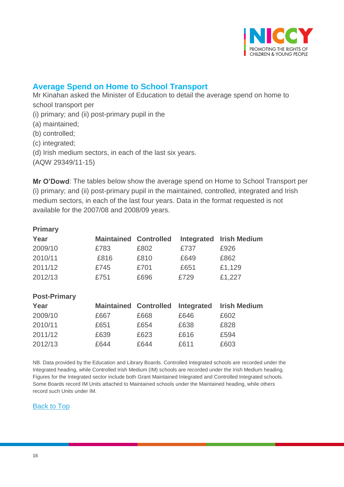

# <span id="page-15-0"></span>**Average Spend on Home to School Transport**

Mr Kinahan asked the Minister of Education to detail the average spend on home to school transport per

- (i) primary; and (ii) post-primary pupil in the
- (a) maintained;
- (b) controlled;
- (c) integrated;
- (d) Irish medium sectors, in each of the last six years.
- (AQW 29349/11-15)

**Mr O'Dowd**: The tables below show the average spend on Home to School Transport per (i) primary; and (ii) post-primary pupil in the maintained, controlled, integrated and Irish medium sectors, in each of the last four years. Data in the format requested is not available for the 2007/08 and 2008/09 years.

| <b>Primary</b>      |                              |      |            |                     |
|---------------------|------------------------------|------|------------|---------------------|
| Year                | <b>Maintained Controlled</b> |      | Integrated | <b>Irish Medium</b> |
| 2009/10             | £783                         | £802 | £737       | £926                |
| 2010/11             | £816                         | £810 | £649       | £862                |
| 2011/12             | £745                         | £701 | £651       | £1,129              |
| 2012/13             | £751                         | £696 | £729       | £1,227              |
|                     |                              |      |            |                     |
| <b>Post-Primary</b> |                              |      |            |                     |
| Year                | <b>Maintained Controlled</b> |      | Integrated | <b>Irish Medium</b> |
| 2009/10             | £667                         | £668 | £646       | £602                |
| 2010/11             | £651                         | £654 | £638       | £828                |
| 2011/12             | £639                         | £623 | £616       | £594                |

2012/13 £644 £644 £611 £603

#### NB. Data provided by the Education and Library Boards. Controlled Integrated schools are recorded under the Integrated heading, while Controlled Irish Medium (IM) schools are recorded under the Irish Medium heading. Figures for the Integrated sector include both Grant Maintained Integrated and Controlled Integrated schools. Some Boards record IM Units attached to Maintained schools under the Maintained heading, while others record such Units under IM.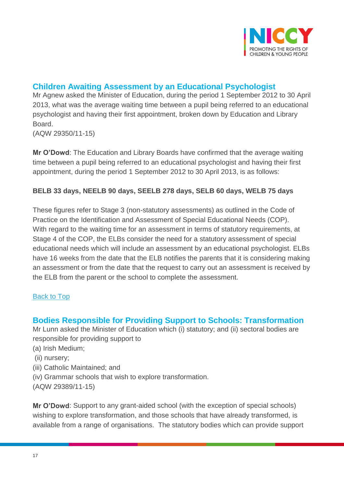

# <span id="page-16-0"></span>**Children Awaiting Assessment by an Educational Psychologist**

Mr Agnew asked the Minister of Education, during the period 1 September 2012 to 30 April 2013, what was the average waiting time between a pupil being referred to an educational psychologist and having their first appointment, broken down by Education and Library Board.

(AQW 29350/11-15)

**Mr O'Dowd**: The Education and Library Boards have confirmed that the average waiting time between a pupil being referred to an educational psychologist and having their first appointment, during the period 1 September 2012 to 30 April 2013, is as follows:

### **BELB 33 days, NEELB 90 days, SEELB 278 days, SELB 60 days, WELB 75 days**

These figures refer to Stage 3 (non-statutory assessments) as outlined in the Code of Practice on the Identification and Assessment of Special Educational Needs (COP). With regard to the waiting time for an assessment in terms of statutory requirements, at Stage 4 of the COP, the ELBs consider the need for a statutory assessment of special educational needs which will include an assessment by an educational psychologist. ELBs have 16 weeks from the date that the ELB notifies the parents that it is considering making an assessment or from the date that the request to carry out an assessment is received by the ELB from the parent or the school to complete the assessment.

### [Back to Top](#page-0-0)

### <span id="page-16-1"></span>**Bodies Responsible for Providing Support to Schools: Transformation**

Mr Lunn asked the Minister of Education which (i) statutory; and (ii) sectoral bodies are responsible for providing support to

- (a) Irish Medium;
- (ii) nursery;
- (iii) Catholic Maintained; and
- (iv) Grammar schools that wish to explore transformation.
- (AQW 29389/11-15)

**Mr O'Dowd**: Support to any grant-aided school (with the exception of special schools) wishing to explore transformation, and those schools that have already transformed, is available from a range of organisations. The statutory bodies which can provide support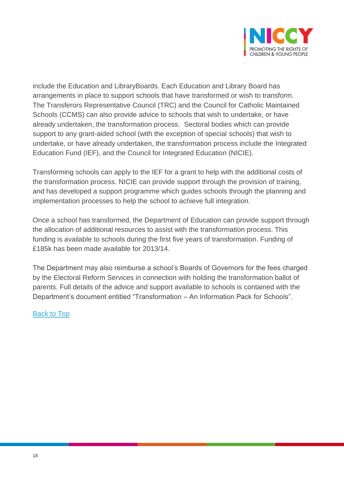

include the Education and LibraryBoards. Each Education and Library Board has arrangements in place to support schools that have transformed or wish to transform. The Transferors Representative Council (TRC) and the Council for Catholic Maintained Schools (CCMS) can also provide advice to schools that wish to undertake, or have already undertaken, the transformation process. Sectoral bodies which can provide support to any grant-aided school (with the exception of special schools) that wish to undertake, or have already undertaken, the transformation process include the Integrated Education Fund (IEF), and the Council for Integrated Education (NICIE).

Transforming schools can apply to the IEF for a grant to help with the additional costs of the transformation process. NICIE can provide support through the provision of training, and has developed a support programme which guides schools through the planning and implementation processes to help the school to achieve full integration.

Once a school has transformed, the Department of Education can provide support through the allocation of additional resources to assist with the transformation process. This funding is available to schools during the first five years of transformation. Funding of £185k has been made available for 2013/14.

The Department may also reimburse a school's Boards of Governors for the fees charged by the Electoral Reform Services in connection with holding the transformation ballot of parents. Full details of the advice and support available to schools is contained with the Department's document entitled "Transformation – An Information Pack for Schools".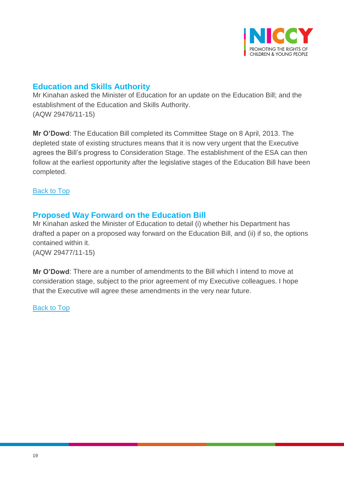

### <span id="page-18-0"></span>**Education and Skills Authority**

Mr Kinahan asked the Minister of Education for an update on the Education Bill; and the establishment of the Education and Skills Authority. (AQW 29476/11-15)

**Mr O'Dowd**: The Education Bill completed its Committee Stage on 8 April, 2013. The depleted state of existing structures means that it is now very urgent that the Executive agrees the Bill's progress to Consideration Stage. The establishment of the ESA can then follow at the earliest opportunity after the legislative stages of the Education Bill have been completed.

**[Back to Top](#page-0-0)** 

### <span id="page-18-1"></span>**Proposed Way Forward on the Education Bill**

Mr Kinahan asked the Minister of Education to detail (i) whether his Department has drafted a paper on a proposed way forward on the Education Bill, and (ii) if so, the options contained within it. (AQW 29477/11-15)

**Mr O'Dowd**: There are a number of amendments to the Bill which I intend to move at consideration stage, subject to the prior agreement of my Executive colleagues. I hope that the Executive will agree these amendments in the very near future.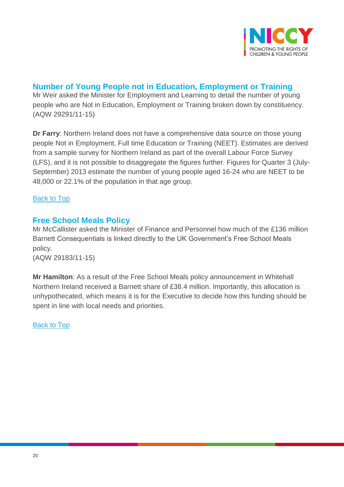

# <span id="page-19-0"></span>**Number of Young People not in Education, Employment or Training**

Mr Weir asked the Minister for Employment and Learning to detail the number of young people who are Not in Education, Employment or Training broken down by constituency. (AQW 29291/11-15)

**Dr Farry**: Northern Ireland does not have a comprehensive data source on those young people Not in Employment, Full time Education or Training (NEET). Estimates are derived from a sample survey for Northern Ireland as part of the overall Labour Force Survey (LFS), and it is not possible to disaggregate the figures further. Figures for Quarter 3 (July-September) 2013 estimate the number of young people aged 16-24 who are NEET to be 48,000 or 22.1% of the population in that age group.

### [Back to Top](#page-0-0)

### <span id="page-19-1"></span>**Free School Meals Policy**

Mr McCallister asked the Minister of Finance and Personnel how much of the £136 million Barnett Consequentials is linked directly to the UK Government's Free School Meals policy.

(AQW 29183/11-15)

<span id="page-19-2"></span>**Mr Hamilton**: As a result of the Free School Meals policy announcement in Whitehall Northern Ireland received a Barnett share of £38.4 million. Importantly, this allocation is unhypothecated, which means it is for the Executive to decide how this funding should be spent in line with local needs and priorities.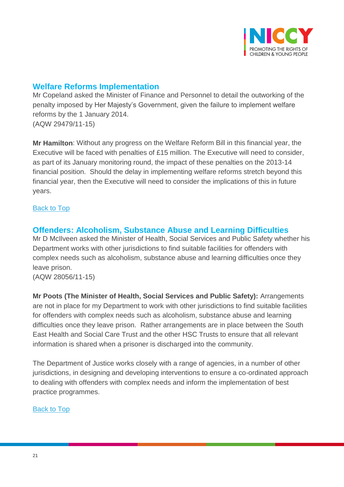

# **Welfare Reforms Implementation**

Mr Copeland asked the Minister of Finance and Personnel to detail the outworking of the penalty imposed by Her Majesty's Government, given the failure to implement welfare reforms by the 1 January 2014. (AQW 29479/11-15)

**Mr Hamilton**: Without any progress on the Welfare Reform Bill in this financial year, the Executive will be faced with penalties of £15 million. The Executive will need to consider, as part of its January monitoring round, the impact of these penalties on the 2013-14 financial position. Should the delay in implementing welfare reforms stretch beyond this financial year, then the Executive will need to consider the implications of this in future years.

### [Back to Top](#page-0-0)

### <span id="page-20-0"></span>**Offenders: Alcoholism, Substance Abuse and Learning Difficulties**

Mr D McIlveen asked the Minister of Health, Social Services and Public Safety whether his Department works with other jurisdictions to find suitable facilities for offenders with complex needs such as alcoholism, substance abuse and learning difficulties once they leave prison.

(AQW 28056/11-15)

**Mr Poots (The Minister of Health, Social Services and Public Safety):** Arrangements are not in place for my Department to work with other jurisdictions to find suitable facilities for offenders with complex needs such as alcoholism, substance abuse and learning difficulties once they leave prison. Rather arrangements are in place between the South East Health and Social Care Trust and the other HSC Trusts to ensure that all relevant information is shared when a prisoner is discharged into the community.

The Department of Justice works closely with a range of agencies, in a number of other jurisdictions, in designing and developing interventions to ensure a co-ordinated approach to dealing with offenders with complex needs and inform the implementation of best practice programmes.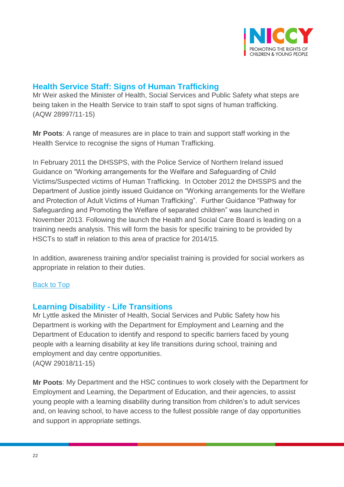

# <span id="page-21-0"></span>**Health Service Staff: Signs of Human Trafficking**

Mr Weir asked the Minister of Health, Social Services and Public Safety what steps are being taken in the Health Service to train staff to spot signs of human trafficking. (AQW 28997/11-15)

**Mr Poots**: A range of measures are in place to train and support staff working in the Health Service to recognise the signs of Human Trafficking.

In February 2011 the DHSSPS, with the Police Service of Northern Ireland issued Guidance on "Working arrangements for the Welfare and Safeguarding of Child Victims/Suspected victims of Human Trafficking. In October 2012 the DHSSPS and the Department of Justice jointly issued Guidance on "Working arrangements for the Welfare and Protection of Adult Victims of Human Trafficking". Further Guidance "Pathway for Safeguarding and Promoting the Welfare of separated children" was launched in November 2013. Following the launch the Health and Social Care Board is leading on a training needs analysis. This will form the basis for specific training to be provided by HSCTs to staff in relation to this area of practice for 2014/15.

In addition, awareness training and/or specialist training is provided for social workers as appropriate in relation to their duties.

### [Back to Top](#page-0-0)

### <span id="page-21-1"></span>**Learning Disability - Life Transitions**

Mr Lyttle asked the Minister of Health, Social Services and Public Safety how his Department is working with the Department for Employment and Learning and the Department of Education to identify and respond to specific barriers faced by young people with a learning disability at key life transitions during school, training and employment and day centre opportunities. (AQW 29018/11-15)

**Mr Poots**: My Department and the HSC continues to work closely with the Department for Employment and Learning, the Department of Education, and their agencies, to assist young people with a learning disability during transition from children's to adult services and, on leaving school, to have access to the fullest possible range of day opportunities and support in appropriate settings.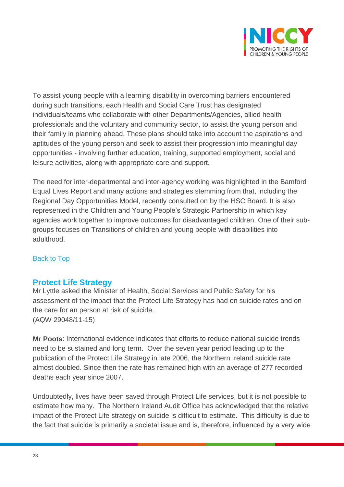

To assist young people with a learning disability in overcoming barriers encountered during such transitions, each Health and Social Care Trust has designated individuals/teams who collaborate with other Departments/Agencies, allied health professionals and the voluntary and community sector, to assist the young person and their family in planning ahead. These plans should take into account the aspirations and aptitudes of the young person and seek to assist their progression into meaningful day opportunities - involving further education, training, supported employment, social and leisure activities, along with appropriate care and support.

The need for inter-departmental and inter-agency working was highlighted in the Bamford Equal Lives Report and many actions and strategies stemming from that, including the Regional Day Opportunities Model, recently consulted on by the HSC Board. It is also represented in the Children and Young People's Strategic Partnership in which key agencies work together to improve outcomes for disadvantaged children. One of their subgroups focuses on Transitions of children and young people with disabilities into adulthood.

### [Back to Top](#page-0-0)

### <span id="page-22-0"></span>**Protect Life Strategy**

Mr Lyttle asked the Minister of Health, Social Services and Public Safety for his assessment of the impact that the Protect Life Strategy has had on suicide rates and on the care for an person at risk of suicide. (AQW 29048/11-15)

**Mr Poots**: International evidence indicates that efforts to reduce national suicide trends need to be sustained and long term. Over the seven year period leading up to the publication of the Protect Life Strategy in late 2006, the Northern Ireland suicide rate almost doubled. Since then the rate has remained high with an average of 277 recorded deaths each year since 2007.

Undoubtedly, lives have been saved through Protect Life services, but it is not possible to estimate how many. The Northern Ireland Audit Office has acknowledged that the relative impact of the Protect Life strategy on suicide is difficult to estimate. This difficulty is due to the fact that suicide is primarily a societal issue and is, therefore, influenced by a very wide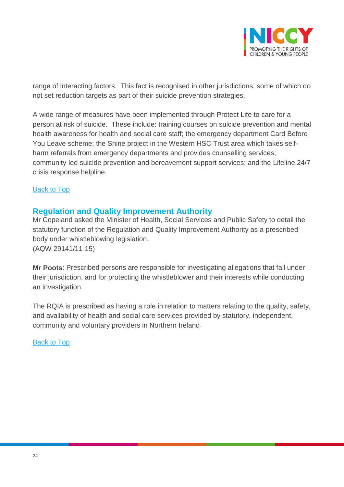

range of interacting factors. This fact is recognised in other jurisdictions, some of which do not set reduction targets as part of their suicide prevention strategies.

A wide range of measures have been implemented through Protect Life to care for a person at risk of suicide. These include: training courses on suicide prevention and mental health awareness for health and social care staff; the emergency department Card Before You Leave scheme; the Shine project in the Western HSC Trust area which takes selfharm referrals from emergency departments and provides counselling services; community-led suicide prevention and bereavement support services; and the Lifeline 24/7 crisis response helpline.

#### [Back to Top](#page-0-0)

### <span id="page-23-0"></span>**Regulation and Quality Improvement Authority**

Mr Copeland asked the Minister of Health, Social Services and Public Safety to detail the statutory function of the Regulation and Quality Improvement Authority as a prescribed body under whistleblowing legislation. (AQW 29141/11-15)

**Mr Poots**: Prescribed persons are responsible for investigating allegations that fall under their jurisdiction, and for protecting the whistleblower and their interests while conducting an investigation.

The RQIA is prescribed as having a role in relation to matters relating to the quality, safety, and availability of health and social care services provided by statutory, independent, community and voluntary providers in Northern Ireland.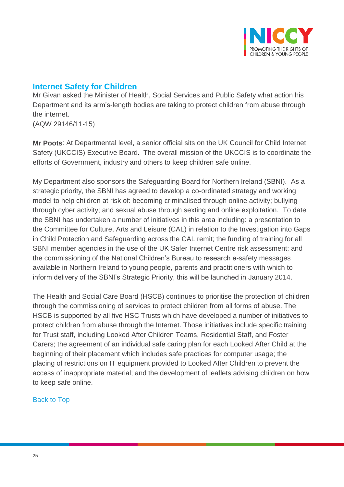

### <span id="page-24-0"></span>**Internet Safety for Children**

Mr Givan asked the Minister of Health, Social Services and Public Safety what action his Department and its arm's-length bodies are taking to protect children from abuse through the internet.

(AQW 29146/11-15)

**Mr Poots**: At Departmental level, a senior official sits on the UK Council for Child Internet Safety (UKCCIS) Executive Board. The overall mission of the UKCCIS is to coordinate the efforts of Government, industry and others to keep children safe online.

My Department also sponsors the Safeguarding Board for Northern Ireland (SBNI). As a strategic priority, the SBNI has agreed to develop a co-ordinated strategy and working model to help children at risk of: becoming criminalised through online activity; bullying through cyber activity; and sexual abuse through sexting and online exploitation. To date the SBNI has undertaken a number of initiatives in this area including: a presentation to the Committee for Culture, Arts and Leisure (CAL) in relation to the Investigation into Gaps in Child Protection and Safeguarding across the CAL remit; the funding of training for all SBNI member agencies in the use of the UK Safer Internet Centre risk assessment; and the commissioning of the National Children's Bureau to research e-safety messages available in Northern Ireland to young people, parents and practitioners with which to inform delivery of the SBNI's Strategic Priority, this will be launched in January 2014.

The Health and Social Care Board (HSCB) continues to prioritise the protection of children through the commissioning of services to protect children from all forms of abuse. The HSCB is supported by all five HSC Trusts which have developed a number of initiatives to protect children from abuse through the Internet. Those initiatives include specific training for Trust staff, including Looked After Children Teams, Residential Staff, and Foster Carers; the agreement of an individual safe caring plan for each Looked After Child at the beginning of their placement which includes safe practices for computer usage; the placing of restrictions on IT equipment provided to Looked After Children to prevent the access of inappropriate material; and the development of leaflets advising children on how to keep safe online.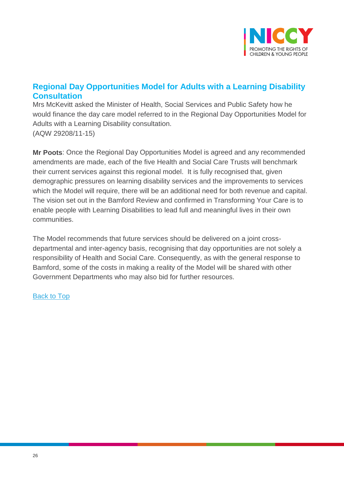

# <span id="page-25-0"></span>**Regional Day Opportunities Model for Adults with a Learning Disability Consultation**

Mrs McKevitt asked the Minister of Health, Social Services and Public Safety how he would finance the day care model referred to in the Regional Day Opportunities Model for Adults with a Learning Disability consultation. (AQW 29208/11-15)

**Mr Poots**: Once the Regional Day Opportunities Model is agreed and any recommended amendments are made, each of the five Health and Social Care Trusts will benchmark their current services against this regional model. It is fully recognised that, given demographic pressures on learning disability services and the improvements to services which the Model will require, there will be an additional need for both revenue and capital. The vision set out in the Bamford Review and confirmed in Transforming Your Care is to enable people with Learning Disabilities to lead full and meaningful lives in their own communities.

The Model recommends that future services should be delivered on a joint crossdepartmental and inter-agency basis, recognising that day opportunities are not solely a responsibility of Health and Social Care. Consequently, as with the general response to Bamford, some of the costs in making a reality of the Model will be shared with other Government Departments who may also bid for further resources.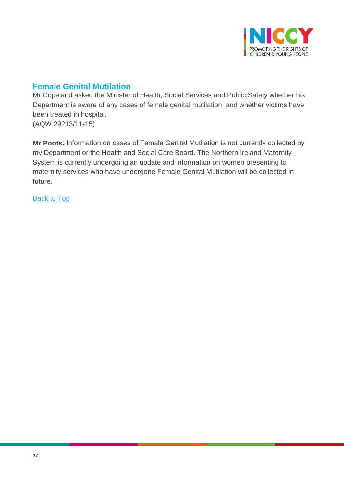

# <span id="page-26-0"></span>**Female Genital Mutilation**

Mr Copeland asked the Minister of Health, Social Services and Public Safety whether his Department is aware of any cases of female genital mutilation; and whether victims have been treated in hospital. (AQW 29213/11-15)

**Mr Poots**: Information on cases of Female Genital Mutilation is not currently collected by my Department or the Health and Social Care Board. The Northern Ireland Maternity System is currently undergoing an update and information on women presenting to maternity services who have undergone Female Genital Mutilation will be collected in future.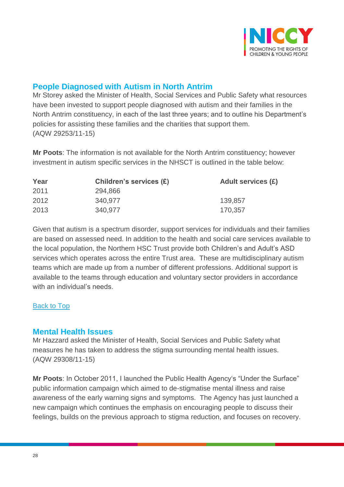

# <span id="page-27-0"></span>**People Diagnosed with Autism in North Antrim**

Mr Storey asked the Minister of Health, Social Services and Public Safety what resources have been invested to support people diagnosed with autism and their families in the North Antrim constituency, in each of the last three years; and to outline his Department's policies for assisting these families and the charities that support them. (AQW 29253/11-15)

**Mr Poots**: The information is not available for the North Antrim constituency; however investment in autism specific services in the NHSCT is outlined in the table below:

| Year | Children's services (£) | Adult services (£) |
|------|-------------------------|--------------------|
| 2011 | 294,866                 |                    |
| 2012 | 340,977                 | 139,857            |
| 2013 | 340,977                 | 170,357            |

Given that autism is a spectrum disorder, support services for individuals and their families are based on assessed need. In addition to the health and social care services available to the local population, the Northern HSC Trust provide both Children's and Adult's ASD services which operates across the entire Trust area. These are multidisciplinary autism teams which are made up from a number of different professions. Additional support is available to the teams through education and voluntary sector providers in accordance with an individual's needs.

#### [Back to Top](#page-0-0)

### <span id="page-27-1"></span>**Mental Health Issues**

Mr Hazzard asked the Minister of Health, Social Services and Public Safety what measures he has taken to address the stigma surrounding mental health issues. (AQW 29308/11-15)

**Mr Poots**: In October 2011, I launched the Public Health Agency's "Under the Surface" public information campaign which aimed to de-stigmatise mental illness and raise awareness of the early warning signs and symptoms. The Agency has just launched a new campaign which continues the emphasis on encouraging people to discuss their feelings, builds on the previous approach to stigma reduction, and focuses on recovery.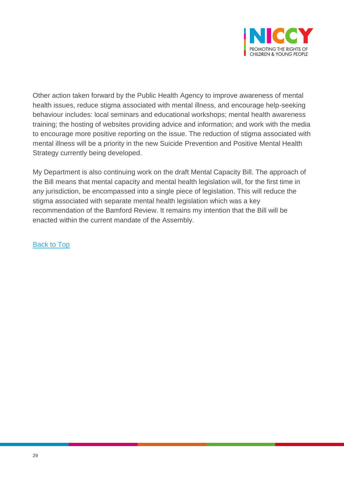

Other action taken forward by the Public Health Agency to improve awareness of mental health issues, reduce stigma associated with mental illness, and encourage help-seeking behaviour includes: local seminars and educational workshops; mental health awareness training; the hosting of websites providing advice and information; and work with the media to encourage more positive reporting on the issue. The reduction of stigma associated with mental illness will be a priority in the new Suicide Prevention and Positive Mental Health Strategy currently being developed.

My Department is also continuing work on the draft Mental Capacity Bill. The approach of the Bill means that mental capacity and mental health legislation will, for the first time in any jurisdiction, be encompassed into a single piece of legislation. This will reduce the stigma associated with separate mental health legislation which was a key recommendation of the Bamford Review. It remains my intention that the Bill will be enacted within the current mandate of the Assembly.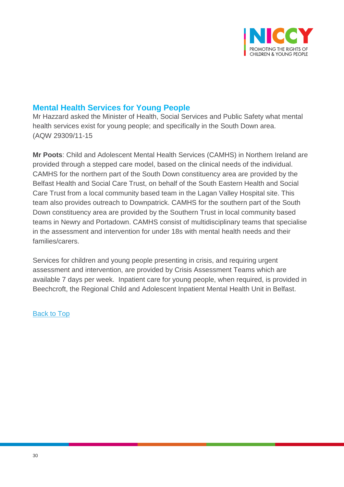

### <span id="page-29-0"></span>**Mental Health Services for Young People**

Mr Hazzard asked the Minister of Health, Social Services and Public Safety what mental health services exist for young people; and specifically in the South Down area. (AQW 29309/11-15

**Mr Poots**: Child and Adolescent Mental Health Services (CAMHS) in Northern Ireland are provided through a stepped care model, based on the clinical needs of the individual. CAMHS for the northern part of the South Down constituency area are provided by the Belfast Health and Social Care Trust, on behalf of the South Eastern Health and Social Care Trust from a local community based team in the Lagan Valley Hospital site. This team also provides outreach to Downpatrick. CAMHS for the southern part of the South Down constituency area are provided by the Southern Trust in local community based teams in Newry and Portadown. CAMHS consist of multidisciplinary teams that specialise in the assessment and intervention for under 18s with mental health needs and their families/carers.

<span id="page-29-1"></span>Services for children and young people presenting in crisis, and requiring urgent assessment and intervention, are provided by Crisis Assessment Teams which are available 7 days per week. Inpatient care for young people, when required, is provided in Beechcroft, the Regional Child and Adolescent Inpatient Mental Health Unit in Belfast.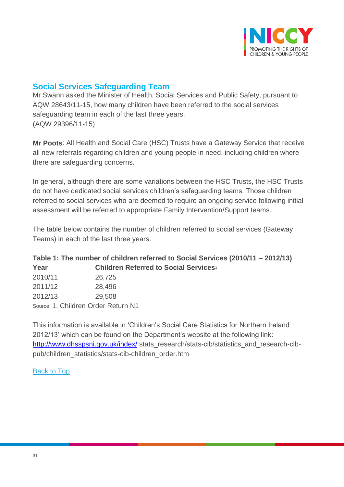

# **Social Services Safeguarding Team**

Mr Swann asked the Minister of Health, Social Services and Public Safety, pursuant to AQW 28643/11-15, how many children have been referred to the social services safeguarding team in each of the last three years. (AQW 29396/11-15)

**Mr Poots**: All Health and Social Care (HSC) Trusts have a Gateway Service that receive all new referrals regarding children and young people in need, including children where there are safeguarding concerns.

In general, although there are some variations between the HSC Trusts, the HSC Trusts do not have dedicated social services children's safeguarding teams. Those children referred to social services who are deemed to require an ongoing service following initial assessment will be referred to appropriate Family Intervention/Support teams.

The table below contains the number of children referred to social services (Gateway Teams) in each of the last three years.

### **Table 1: The number of children referred to Social Services (2010/11 – 2012/13) Year Children Referred to Social Services<sup>1</sup>**

| 2010/11                             | 26,725 |  |
|-------------------------------------|--------|--|
| 2011/12                             | 28,496 |  |
| 2012/13                             | 29,508 |  |
| Source: 1. Children Order Return N1 |        |  |

This information is available in 'Children's Social Care Statistics for Northern Ireland 2012/13' which can be found on the Department's website at the following link: <http://www.dhsspsni.gov.uk/index/> stats\_research/stats-cib/statistics\_and\_research-cibpub/children\_statistics/stats-cib-children\_order.htm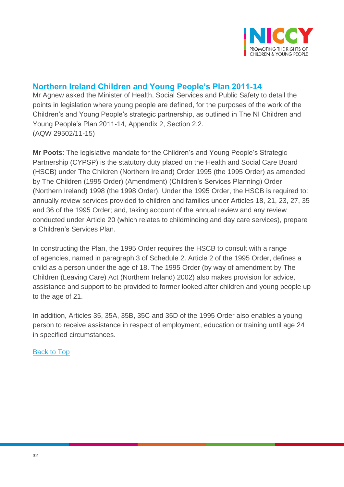

# <span id="page-31-0"></span>**Northern Ireland Children and Young People's Plan 2011-14**

Mr Agnew asked the Minister of Health, Social Services and Public Safety to detail the points in legislation where young people are defined, for the purposes of the work of the Children's and Young People's strategic partnership, as outlined in The NI Children and Young People's Plan 2011-14, Appendix 2, Section 2.2. (AQW 29502/11-15)

**Mr Poots**: The legislative mandate for the Children's and Young People's Strategic Partnership (CYPSP) is the statutory duty placed on the Health and Social Care Board (HSCB) under The Children (Northern Ireland) Order 1995 (the 1995 Order) as amended by The Children (1995 Order) (Amendment) (Children's Services Planning) Order (Northern Ireland) 1998 (the 1998 Order). Under the 1995 Order, the HSCB is required to: annually review services provided to children and families under Articles 18, 21, 23, 27, 35 and 36 of the 1995 Order; and, taking account of the annual review and any review conducted under Article 20 (which relates to childminding and day care services), prepare a Children's Services Plan.

In constructing the Plan, the 1995 Order requires the HSCB to consult with a range of agencies, named in paragraph 3 of Schedule 2. Article 2 of the 1995 Order, defines a child as a person under the age of 18. The 1995 Order (by way of amendment by The Children (Leaving Care) Act (Northern Ireland) 2002) also makes provision for advice, assistance and support to be provided to former looked after children and young people up to the age of 21.

In addition, Articles 35, 35A, 35B, 35C and 35D of the 1995 Order also enables a young person to receive assistance in respect of employment, education or training until age 24 in specified circumstances.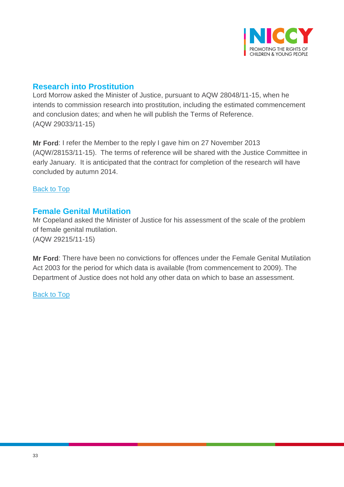

### <span id="page-32-0"></span>**Research into Prostitution**

Lord Morrow asked the Minister of Justice, pursuant to AQW 28048/11-15, when he intends to commission research into prostitution, including the estimated commencement and conclusion dates; and when he will publish the Terms of Reference. (AQW 29033/11-15)

**Mr Ford**: I refer the Member to the reply I gave him on 27 November 2013 (AQW/28153/11-15). The terms of reference will be shared with the Justice Committee in early January. It is anticipated that the contract for completion of the research will have concluded by autumn 2014.

[Back to Top](#page-0-0)

### <span id="page-32-1"></span>**Female Genital Mutilation**

Mr Copeland asked the Minister of Justice for his assessment of the scale of the problem of female genital mutilation. (AQW 29215/11-15)

**Mr Ford**: There have been no convictions for offences under the Female Genital Mutilation Act 2003 for the period for which data is available (from commencement to 2009). The Department of Justice does not hold any other data on which to base an assessment.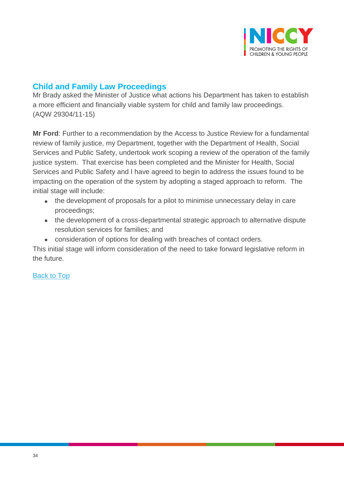

# <span id="page-33-0"></span>**Child and Family Law Proceedings**

Mr Brady asked the Minister of Justice what actions his Department has taken to establish a more efficient and financially viable system for child and family law proceedings. (AQW 29304/11-15)

**Mr Ford**: Further to a recommendation by the Access to Justice Review for a fundamental review of family justice, my Department, together with the Department of Health, Social Services and Public Safety, undertook work scoping a review of the operation of the family justice system. That exercise has been completed and the Minister for Health, Social Services and Public Safety and I have agreed to begin to address the issues found to be impacting on the operation of the system by adopting a staged approach to reform. The initial stage will include:

- the development of proposals for a pilot to minimise unnecessary delay in care proceedings;
- the development of a cross-departmental strategic approach to alternative dispute resolution services for families; and
- consideration of options for dealing with breaches of contact orders.

This initial stage will inform consideration of the need to take forward legislative reform in the future.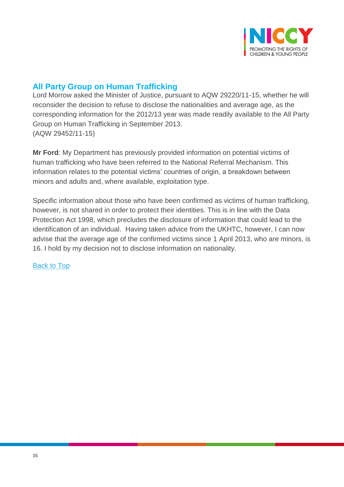

# <span id="page-34-0"></span>**All Party Group on Human Trafficking**

Lord Morrow asked the Minister of Justice, pursuant to AQW 29220/11-15, whether he will reconsider the decision to refuse to disclose the nationalities and average age, as the corresponding information for the 2012/13 year was made readily available to the All Party Group on Human Trafficking in September 2013. (AQW 29452/11-15)

**Mr Ford**: My Department has previously provided information on potential victims of human trafficking who have been referred to the National Referral Mechanism. This information relates to the potential victims' countries of origin, a breakdown between minors and adults and, where available, exploitation type.

Specific information about those who have been confirmed as victims of human trafficking, however, is not shared in order to protect their identities. This is in line with the Data Protection Act 1998, which precludes the disclosure of information that could lead to the identification of an individual. Having taken advice from the UKHTC, however, I can now advise that the average age of the confirmed victims since 1 April 2013, who are minors, is 16. I hold by my decision not to disclose information on nationality.